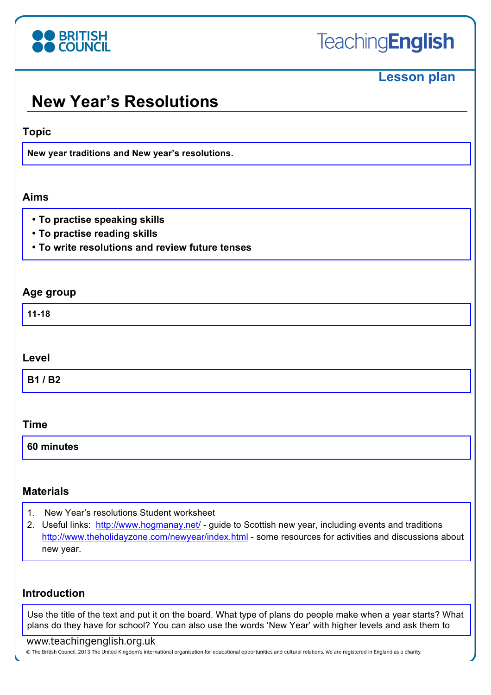

# **Lesson plan**

# **New Year's Resolutions**

### **Topic**

**New year traditions and New year's resolutions.** 

### **Aims**

- **To practise speaking skills**
- **To practise reading skills**
- **To write resolutions and review future tenses**

### **Age group**

**11-18**

#### **Level**

**B1 / B2**

#### **Time**

**60 minutes**

## **Materials**

- 1. New Year's resolutions Student worksheet
- 2. Useful links: http://www.hogmanay.net/ guide to Scottish new year, including events and traditions http://www.theholidayzone.com/newyear/index.html - some resources for activities and discussions about new year.

## **Introduction**

Use the title of the text and put it on the board. What type of plans do people make when a year starts? What plans do they have for school? You can also use the words 'New Year' with higher levels and ask them to

#### www.teachingenglish.org.uk

© The British Council, 2013 The United Kingdom's international organisation for educational opportunities and cultural relations. We are registered in England as a charity.